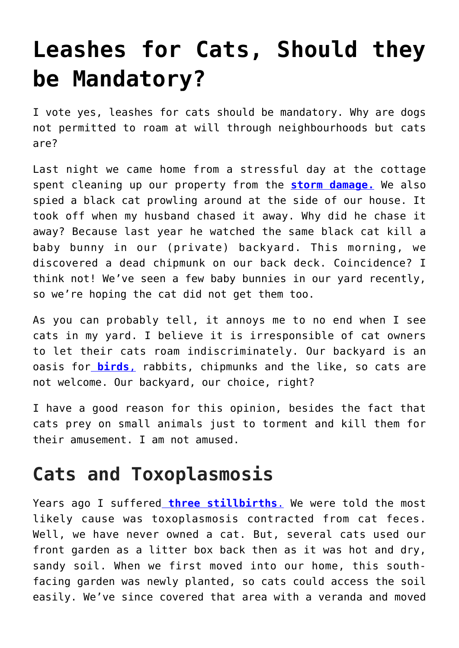# **[Leashes for Cats, Should they](https://loreeebee.ca/2022/05/24/leashes-for-cats-should-they-be-mandatory/) [be Mandatory?](https://loreeebee.ca/2022/05/24/leashes-for-cats-should-they-be-mandatory/)**

I vote yes, leashes for cats should be mandatory. Why are dogs not permitted to roam at will through neighbourhoods but cats are?

Last night we came home from a stressful day at the cottage spent cleaning up our property from the **[storm damage.](https://loreeebee.ca/2022/05/22/storm-hits-ontario-hard-but-selectively/)** We also spied a black cat prowling around at the side of our house. It took off when my husband chased it away. Why did he chase it away? Because last year he watched the same black cat kill a baby bunny in our (private) backyard. This morning, we discovered a dead chipmunk on our back deck. Coincidence? I think not! We've seen a few baby bunnies in our yard recently, so we're hoping the cat did not get them too.

As you can probably tell, it annoys me to no end when I see cats in my yard. I believe it is irresponsible of cat owners to let their cats roam indiscriminately. Our backyard is an oasis for **[birds](https://loreeebee.ca/2022/02/12/cardinals-all-you-need-to-know/)**[,](https://loreeebee.ca/2022/02/12/cardinals-all-you-need-to-know/) rabbits, chipmunks and the like, so cats are not welcome. Our backyard, our choice, right?

I have a good reason for this opinion, besides the fact that cats prey on small animals just to torment and kill them for their amusement. I am not amused.

# **Cats and Toxoplasmosis**

Years ago I suffered **[three stillbirths](https://loreeebee.ca/2014/08/18/g9p3a3-my-book-about-my-miscarriages-stillbirths-and-healthy-pregnancies/)**[.](https://loreeebee.ca/2014/08/18/g9p3a3-my-book-about-my-miscarriages-stillbirths-and-healthy-pregnancies/) We were told the most likely cause was toxoplasmosis contracted from cat feces. Well, we have never owned a cat. But, several cats used our front garden as a litter box back then as it was hot and dry, sandy soil. When we first moved into our home, this southfacing garden was newly planted, so cats could access the soil easily. We've since covered that area with a veranda and moved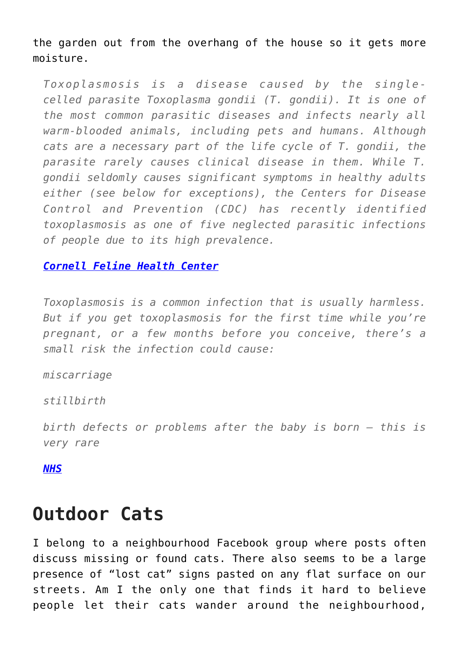the garden out from the overhang of the house so it gets more moisture.

*Toxoplasmosis is a disease caused by the singlecelled parasite Toxoplasma gondii (T. gondii). It is one of the most common parasitic diseases and infects nearly all warm-blooded animals, including pets and humans. Although cats are a necessary part of the life cycle of T. gondii, the parasite rarely causes clinical disease in them. While T. gondii seldomly causes significant symptoms in healthy adults either (see below for exceptions), the Centers for Disease Control and Prevention (CDC) has recently identified toxoplasmosis as one of five neglected parasitic infections of people due to its high prevalence.* 

#### *[Cornell Feline Health Center](https://www.vet.cornell.edu/departments-centers-and-institutes/cornell-feline-health-center/health-information/feline-health-topics/toxoplasmosis-cats)*

*Toxoplasmosis is a common infection that is usually harmless. But if you get toxoplasmosis for the first time while you're pregnant, or a few months before you conceive, there's a small risk the infection could cause:*

#### *miscarriage*

*stillbirth*

*birth defects or problems after the baby is born – this is very rare*

*[NHS](https://www.nhs.uk/common-health-questions/pregnancy/what-are-the-risks-of-toxoplasmosis-during-pregnancy/)*

### **Outdoor Cats**

I belong to a neighbourhood Facebook group where posts often discuss missing or found cats. There also seems to be a large presence of "lost cat" signs pasted on any flat surface on our streets. Am I the only one that finds it hard to believe people let their cats wander around the neighbourhood,